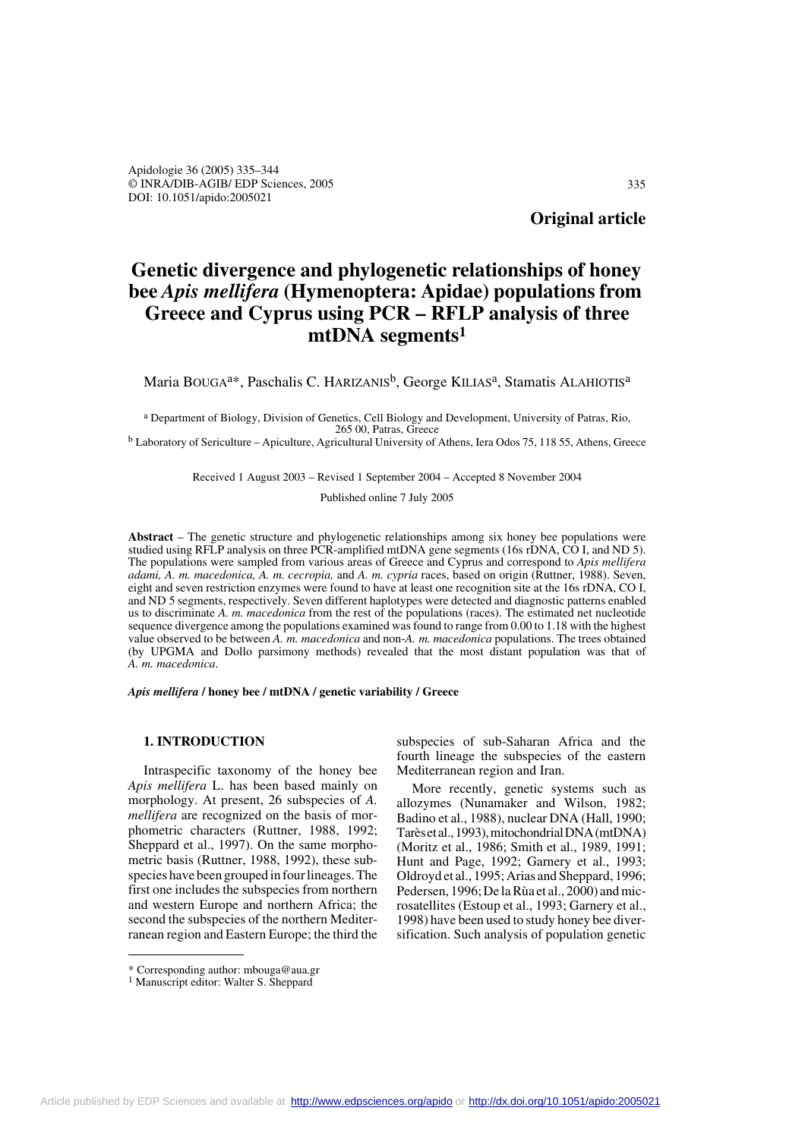# **Genetic divergence and phylogenetic relationships of honey bee** *Apis mellifera* **(Hymenoptera: Apidae) populations from Greece and Cyprus using PCR – RFLP analysis of three mtDNA segments1**

Maria BOUGA<sup>a\*</sup>, Paschalis C. HARIZANIS<sup>b</sup>, George KILIAS<sup>a</sup>, Stamatis ALAHIOTIS<sup>a</sup>

<sup>a</sup> Department of Biology, Division of Genetics, Cell Biology and Development, University of Patras, Rio, 265 00, Patras, Greece

<sup>b</sup> Laboratory of Sericulture – Apiculture, Agricultural University of Athens, Iera Odos 75, 118 55, Athens, Greece

Received 1 August 2003 – Revised 1 September 2004 – Accepted 8 November 2004

Published online 7 July 2005

**Abstract** – The genetic structure and phylogenetic relationships among six honey bee populations were studied using RFLP analysis on three PCR-amplified mtDNA gene segments (16s rDNA, CO I, and ND 5). The populations were sampled from various areas of Greece and Cyprus and correspond to *Apis mellifera adami, A. m. macedonica, A. m. cecropia,* and *A. m. cypria* races, based on origin (Ruttner, 1988). Seven, eight and seven restriction enzymes were found to have at least one recognition site at the 16s rDNA, CO I, and ND 5 segments, respectively. Seven different haplotypes were detected and diagnostic patterns enabled us to discriminate *A. m. macedonica* from the rest of the populations (races). The estimated net nucleotide sequence divergence among the populations examined was found to range from 0.00 to 1.18 with the highest value observed to be between *A. m. macedonica* and non-*A. m. macedonica* populations. The trees obtained (by UPGMA and Dollo parsimony methods) revealed that the most distant population was that of *A. m. macedonica*.

*Apis mellifera* **/ honey bee / mtDNA / genetic variability / Greece**

## **1. INTRODUCTION**

Intraspecific taxonomy of the honey bee *Apis mellifera* L. has been based mainly on morphology. At present, 26 subspecies of *A. mellifera* are recognized on the basis of morphometric characters (Ruttner, 1988, 1992; Sheppard et al., 1997). On the same morphometric basis (Ruttner, 1988, 1992), these subspecies have been grouped in four lineages. The first one includes the subspecies from northern and western Europe and northern Africa; the second the subspecies of the northern Mediterranean region and Eastern Europe; the third the

subspecies of sub-Saharan Africa and the fourth lineage the subspecies of the eastern Mediterranean region and Iran.

More recently, genetic systems such as allozymes (Nunamaker and Wilson, 1982; Badino et al., 1988), nuclear DNA (Hall, 1990; Tarès et al., 1993), mitochondrial DNA (mtDNA) (Moritz et al., 1986; Smith et al., 1989, 1991; Hunt and Page, 1992; Garnery et al., 1993; Oldroyd et al., 1995; Arias and Sheppard, 1996; Pedersen, 1996; De la Rùa et al., 2000) and microsatellites (Estoup et al., 1993; Garnery et al., 1998) have been used to study honey bee diversification. Such analysis of population genetic

<sup>\*</sup> Corresponding author: mbouga@aua.gr

<sup>&</sup>lt;sup>1</sup> Manuscript editor: Walter S. Sheppard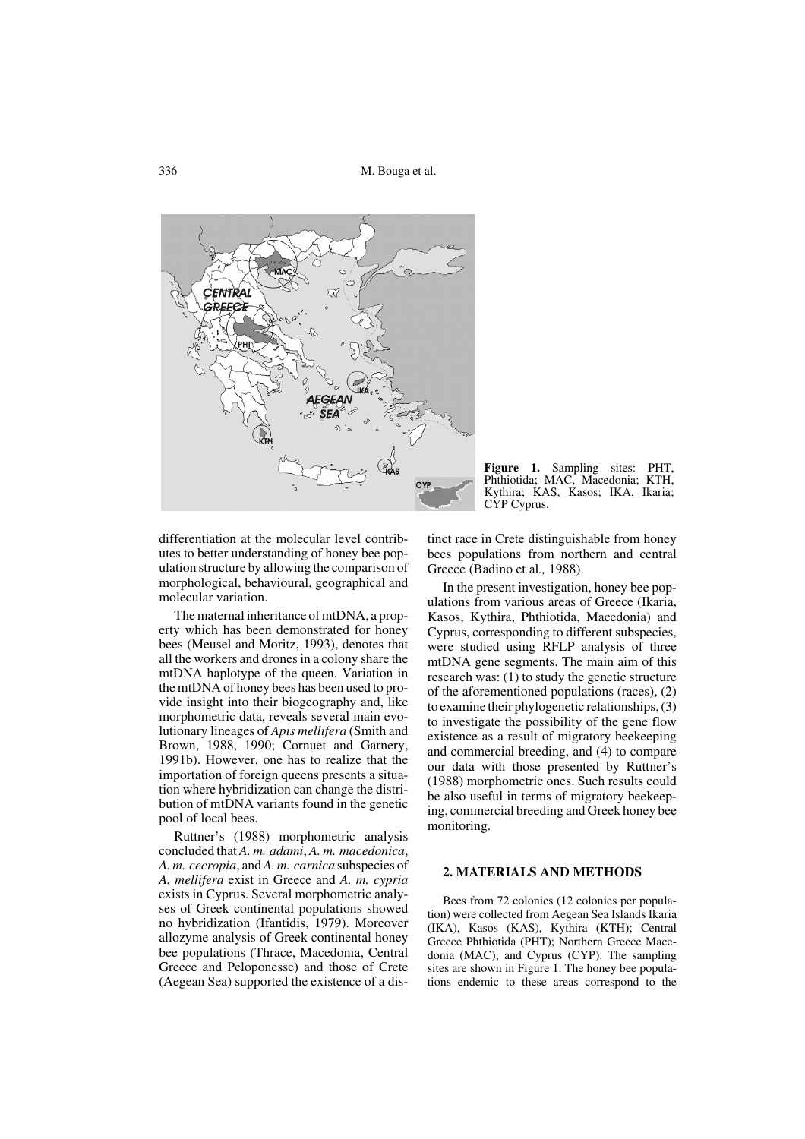336 M. Bouga et al.



differentiation at the molecular level contributes to better understanding of honey bee population structure by allowing the comparison of morphological, behavioural, geographical and molecular variation.

The maternal inheritance of mtDNA, a property which has been demonstrated for honey bees (Meusel and Moritz, 1993), denotes that all the workers and drones in a colony share the mtDNA haplotype of the queen. Variation in the mtDNA of honey bees has been used to provide insight into their biogeography and, like morphometric data, reveals several main evolutionary lineages of *Apis mellifera* (Smith and Brown, 1988, 1990; Cornuet and Garnery, 1991b). However, one has to realize that the importation of foreign queens presents a situation where hybridization can change the distribution of mtDNA variants found in the genetic pool of local bees.

Ruttner's (1988) morphometric analysis concluded that *A. m. adami*, *A. m. macedonica*, *A. m. cecropia*, and *A. m. carnica* subspecies of *A. mellifera* exist in Greece and *A. m. cypria* exists in Cyprus. Several morphometric analyses of Greek continental populations showed no hybridization (Ifantidis, 1979). Moreover allozyme analysis of Greek continental honey bee populations (Thrace, Macedonia, Central Greece and Peloponesse) and those of Crete (Aegean Sea) supported the existence of a dis-

**Figure 1.** Sampling sites: PHT, Phthiotida; MAC, Macedonia; KTH, Kythira; KAS, Kasos; IKA, Ikaria; CYP Cyprus.

tinct race in Crete distinguishable from honey bees populations from northern and central Greece (Badino et al*.,* 1988).

In the present investigation, honey bee populations from various areas of Greece (Ikaria, Kasos, Kythira, Phthiotida, Macedonia) and Cyprus, corresponding to different subspecies, were studied using RFLP analysis of three mtDNA gene segments. The main aim of this research was: (1) to study the genetic structure of the aforementioned populations (races), (2) to examine their phylogenetic relationships, (3) to investigate the possibility of the gene flow existence as a result of migratory beekeeping and commercial breeding, and (4) to compare our data with those presented by Ruttner's (1988) morphometric ones. Such results could be also useful in terms of migratory beekeeping, commercial breeding and Greek honey bee monitoring.

## **2. MATERIALS AND METHODS**

Bees from 72 colonies (12 colonies per population) were collected from Aegean Sea Islands Ikaria (IKA), Kasos (KAS), Kythira (KTH); Central Greece Phthiotida (PHT); Northern Greece Macedonia (MAC); and Cyprus (CYP). The sampling sites are shown in Figure 1. The honey bee populations endemic to these areas correspond to the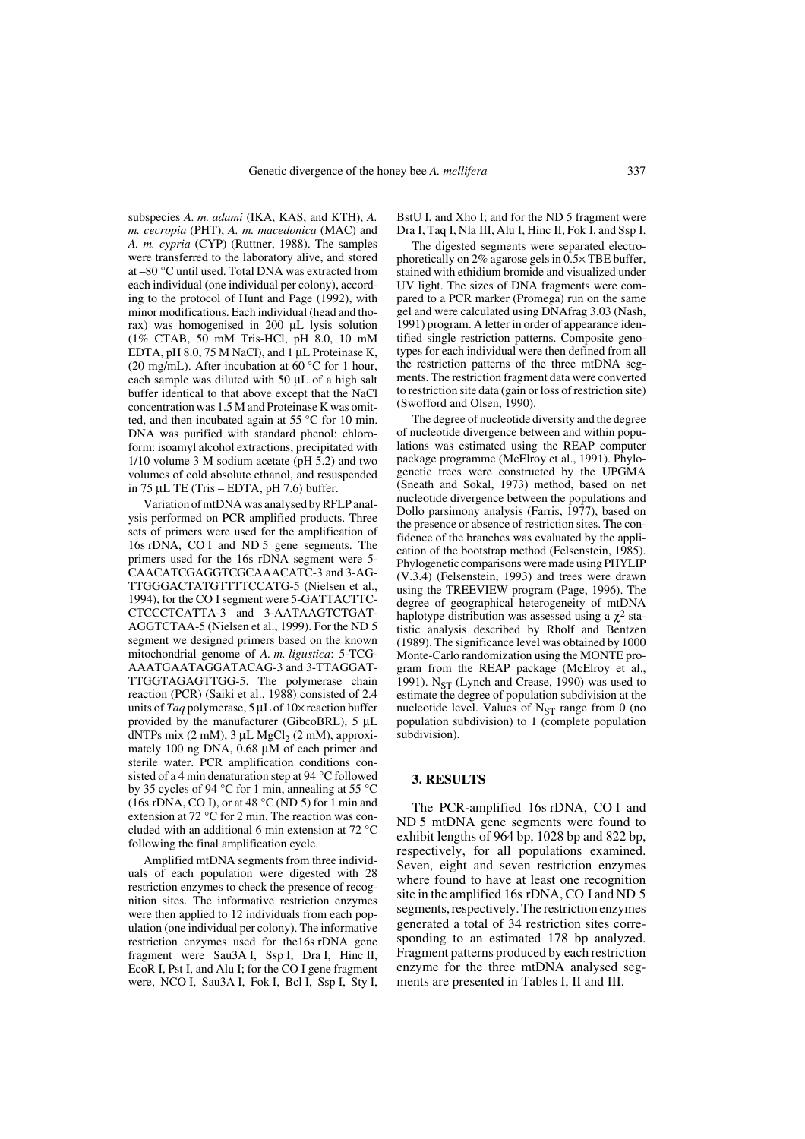subspecies *A. m. adami* (IKA, KAS, and KTH), *A. m. cecropia* (PHT), *A. m. macedonica* (MAC) and *A. m. cypria* (CYP) (Ruttner, 1988). The samples were transferred to the laboratory alive, and stored at –80 °C until used. Total DNA was extracted from each individual (one individual per colony), according to the protocol of Hunt and Page (1992), with minor modifications. Each individual (head and thorax) was homogenised in 200 µL lysis solution (1% CTAB, 50 mM Tris-HCl, pH 8.0, 10 mM EDTA, pH 8.0, 75 M NaCl), and 1 µL Proteinase K, (20 mg/mL). After incubation at 60 °C for 1 hour, each sample was diluted with 50 uL of a high salt buffer identical to that above except that the NaCl concentration was 1.5 M and Proteinase K was omitted, and then incubated again at 55 °C for 10 min. DNA was purified with standard phenol: chloroform: isoamyl alcohol extractions, precipitated with 1/10 volume 3 M sodium acetate (pH 5.2) and two volumes of cold absolute ethanol, and resuspended in 75 µL TE (Tris – EDTA, pH 7.6) buffer.

Variation of mtDNA was analysed by RFLP analysis performed on PCR amplified products. Three sets of primers were used for the amplification of 16s rDNA, CO I and ND 5 gene segments. The primers used for the 16s rDNA segment were 5- CAACATCGAGGTCGCAAACATC-3 and 3-AG-TTGGGACTATGTTTTCCATG-5 (Nielsen et al., 1994), for the CO I segment were 5-GATTACTTC-CTCCCTCATTA-3 and 3-AATAAGTCTGAT-AGGTCTAA-5 (Nielsen et al., 1999). For the ND 5 segment we designed primers based on the known mitochondrial genome of *A. m. ligustica*: 5-TCG-AAATGAATAGGATACAG-3 and 3-TTAGGAT-TTGGTAGAGTTGG-5. The polymerase chain reaction (PCR) (Saiki et al., 1988) consisted of 2.4 units of *Taq* polymerase, 5 µL of 10× reaction buffer provided by the manufacturer (GibcoBRL), 5 µL dNTPs mix  $(2 \text{ mM})$ ,  $3 \mu L \text{ MgCl}_2$   $(2 \text{ mM})$ , approximately 100 ng DNA, 0.68 µM of each primer and sterile water. PCR amplification conditions consisted of a 4 min denaturation step at 94 °C followed by 35 cycles of 94 °C for 1 min, annealing at 55 °C (16s rDNA, CO I), or at 48  $\rm{°C}$  (ND 5) for 1 min and extension at 72 °C for 2 min. The reaction was concluded with an additional 6 min extension at 72 °C following the final amplification cycle.

Amplified mtDNA segments from three individuals of each population were digested with 28 restriction enzymes to check the presence of recognition sites. The informative restriction enzymes were then applied to 12 individuals from each population (one individual per colony). The informative restriction enzymes used for the16s rDNA gene fragment were Sau3A I, Ssp I, Dra I, Hinc II, EcoR I, Pst I, and Alu I; for the CO I gene fragment were, NCO I, Sau3A I, Fok I, Bcl I, Ssp I, Sty I, BstU I, and Xho I; and for the ND 5 fragment were Dra I, Taq I, Nla III, Alu I, Hinc II, Fok I, and Ssp I.

The digested segments were separated electrophoretically on 2% agarose gels in  $0.5 \times$  TBE buffer, stained with ethidium bromide and visualized under UV light. The sizes of DNA fragments were compared to a PCR marker (Promega) run on the same gel and were calculated using DNAfrag 3.03 (Nash, 1991) program. A letter in order of appearance identified single restriction patterns. Composite genotypes for each individual were then defined from all the restriction patterns of the three mtDNA segments. The restriction fragment data were converted to restriction site data (gain or loss of restriction site) (Swofford and Olsen, 1990).

The degree of nucleotide diversity and the degree of nucleotide divergence between and within populations was estimated using the REAP computer package programme (McElroy et al., 1991). Phylogenetic trees were constructed by the UPGMA (Sneath and Sokal, 1973) method, based on net nucleotide divergence between the populations and Dollo parsimony analysis (Farris, 1977), based on the presence or absence of restriction sites. The confidence of the branches was evaluated by the application of the bootstrap method (Felsenstein, 1985). Phylogenetic comparisons were made using PHYLIP (V.3.4) (Felsenstein, 1993) and trees were drawn using the TREEVIEW program (Page, 1996). The degree of geographical heterogeneity of mtDNA haplotype distribution was assessed using a  $\chi^2$  statistic analysis described by Rholf and Bentzen (1989). The significance level was obtained by 1000 Monte-Carlo randomization using the MONTE program from the REAP package (McElroy et al., 1991).  $N_{ST}$  (Lynch and Crease, 1990) was used to estimate the degree of population subdivision at the nucleotide level. Values of  $N_{ST}$  range from 0 (no population subdivision) to 1 (complete population subdivision).

## **3. RESULTS**

The PCR-amplified 16s rDNA, CO I and ND 5 mtDNA gene segments were found to exhibit lengths of 964 bp, 1028 bp and 822 bp, respectively, for all populations examined. Seven, eight and seven restriction enzymes where found to have at least one recognition site in the amplified 16s rDNA, CO I and ND 5 segments, respectively. The restriction enzymes generated a total of 34 restriction sites corresponding to an estimated 178 bp analyzed. Fragment patterns produced by each restriction enzyme for the three mtDNA analysed segments are presented in Tables I, II and III.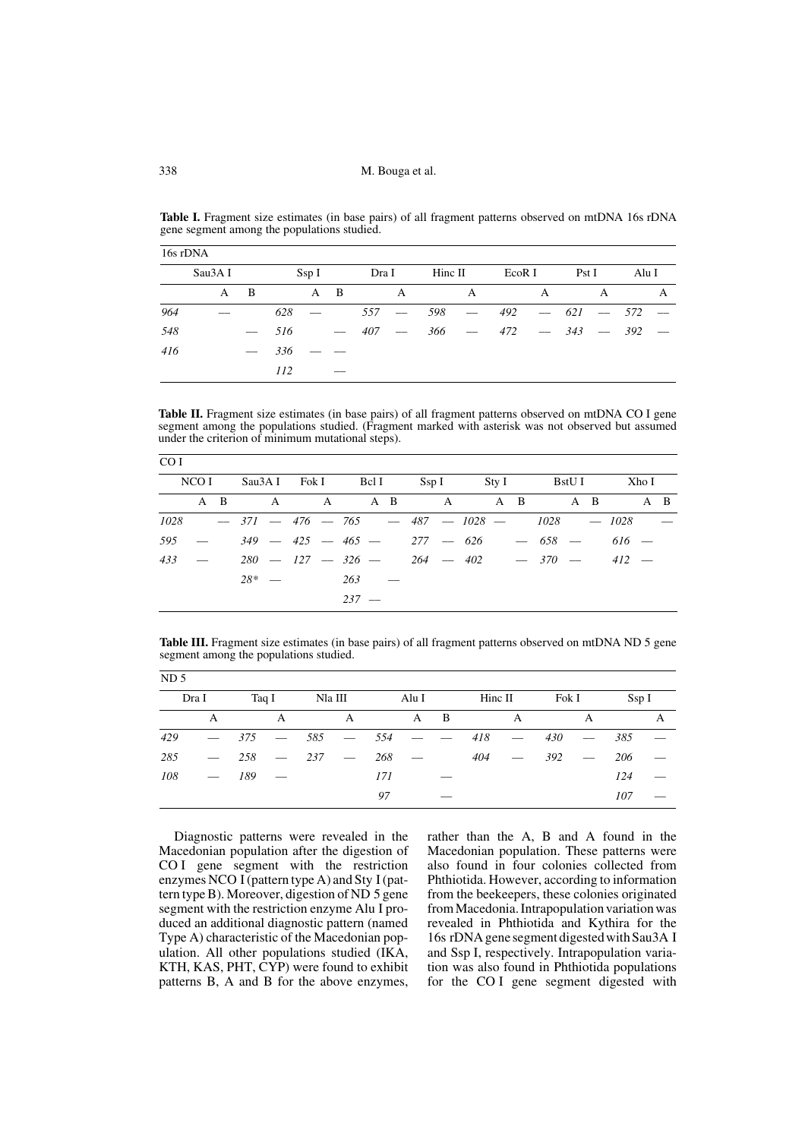| 16s rDNA |         |                          |            |       |                          |       |                          |         |                                 |        |   |             |   |               |   |
|----------|---------|--------------------------|------------|-------|--------------------------|-------|--------------------------|---------|---------------------------------|--------|---|-------------|---|---------------|---|
|          | Sau3A I |                          |            | Ssp I |                          | Dra I |                          | Hinc II |                                 | EcoR I |   | PstI        |   | Alu I         |   |
|          | A       | B                        |            |       | A B                      |       | A                        |         | A                               |        | A |             | A |               | A |
| 964      |         |                          | 628        |       |                          | 557   | $\overline{\phantom{a}}$ | 598     | $\frac{1}{2}$ and $\frac{1}{2}$ | 492    |   | $-621 -572$ |   |               |   |
| 548      |         | $\overline{\phantom{a}}$ | 516        |       | $\frac{1}{2}$            | 407   | $\overline{\phantom{a}}$ |         | $366 -$                         | 472    |   |             |   | $-343 -392 -$ |   |
| 416      |         | $\overline{\phantom{m}}$ | 336        |       |                          |       |                          |         |                                 |        |   |             |   |               |   |
|          |         |                          | <i>112</i> |       | $\overline{\phantom{a}}$ |       |                          |         |                                 |        |   |             |   |               |   |

Table I. Fragment size estimates (in base pairs) of all fragment patterns observed on mtDNA 16s rDNA gene segment among the populations studied.

Table II. Fragment size estimates (in base pairs) of all fragment patterns observed on mtDNA CO I gene segment among the populations studied. (Fragment marked with asterisk was not observed but assumed under the criterion of minimum mutational steps).

| CO I |                               |  |                |         |  |  |  |                                                     |  |  |        |
|------|-------------------------------|--|----------------|---------|--|--|--|-----------------------------------------------------|--|--|--------|
|      | NCO I                         |  |                |         |  |  |  | Sau3AI Fok I Bel I Ssp I Sty I BstUI Xho I          |  |  |        |
|      |                               |  |                |         |  |  |  | A B A A A B A A A B A B A B                         |  |  |        |
|      |                               |  |                |         |  |  |  | $1028 - 371 - 476 - 765 - 487 - 1028 - 1028 - 1028$ |  |  | $\sim$ |
| .595 | $\sim$ $\sim$                 |  |                |         |  |  |  | $349 - 425 - 465 - 277 - 626 - 658 - 616$           |  |  |        |
| 433  | and the state of the state of |  |                |         |  |  |  | $280 - 127 - 326 - 264 - 402 - 370 - 412 -$         |  |  |        |
|      |                               |  | $28^*$ - 263 - |         |  |  |  |                                                     |  |  |        |
|      |                               |  |                | $237 -$ |  |  |  |                                                     |  |  |        |

**Table III.** Fragment size estimates (in base pairs) of all fragment patterns observed on mtDNA ND 5 gene segment among the populations studied.

| ND <sub>5</sub> |                          |     |   |               |   |       |                                   |                          |     |                     |       |            |      |   |
|-----------------|--------------------------|-----|---|---------------|---|-------|-----------------------------------|--------------------------|-----|---------------------|-------|------------|------|---|
|                 | Dra I                    |     |   | Taq I Na III  |   |       | Alu I                             |                          |     | $\lim_{\Omega} \Pi$ | Fok I |            | SspI |   |
|                 | A                        |     | A |               | A |       | A B                               |                          |     | A                   |       | A          |      | A |
| 429             | $\overline{\phantom{a}}$ | 375 |   | $-585 -554$   |   |       | and the state of the state of the |                          | 418 | $\sim$ $-$          | 430   | $\sim$ $-$ | 385  |   |
| 285             | $\overline{\phantom{a}}$ |     |   | $258 - 237 -$ |   | 268 — |                                   |                          | 404 | $\sim$ 100 $\sim$   | 392   | $\sim$ $-$ | 206  |   |
| 108             | $-$ 189 $-$              |     |   |               |   | 171   |                                   |                          |     |                     |       |            | 124  |   |
|                 |                          |     |   |               |   | 97    |                                   | $\overline{\phantom{a}}$ |     |                     |       |            | 107  |   |

Diagnostic patterns were revealed in the Macedonian population after the digestion of CO I gene segment with the restriction enzymes NCO I (pattern type A) and Sty I (pattern type B). Moreover, digestion of ND 5 gene segment with the restriction enzyme Alu I produced an additional diagnostic pattern (named Type A) characteristic of the Macedonian population. All other populations studied (IKA, KTH, KAS, PHT, CYP) were found to exhibit patterns B, A and B for the above enzymes,

rather than the A, B and A found in the Macedonian population. These patterns were also found in four colonies collected from Phthiotida. However, according to information from the beekeepers, these colonies originated from Macedonia. Intrapopulation variation was revealed in Phthiotida and Kythira for the 16s rDNA gene segment digested with Sau3A I and Ssp I, respectively. Intrapopulation variation was also found in Phthiotida populations for the CO I gene segment digested with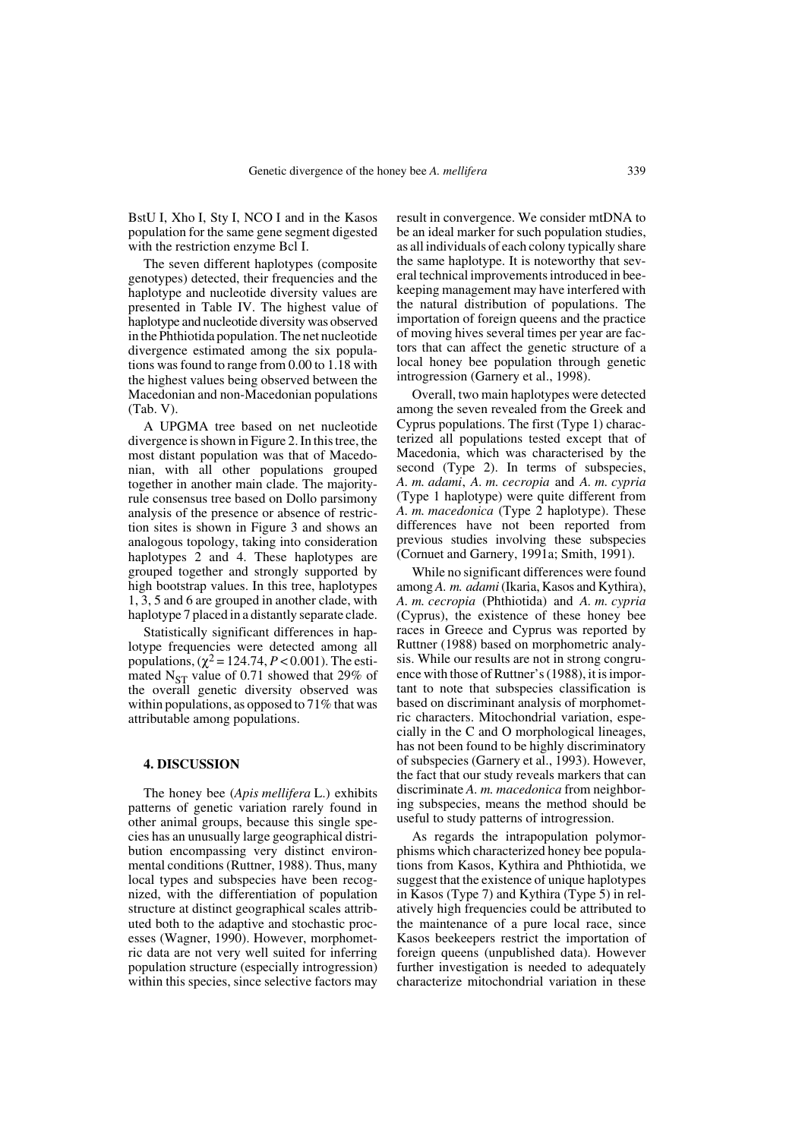BstU I, Xho I, Sty I, NCO I and in the Kasos population for the same gene segment digested with the restriction enzyme Bcl I.

The seven different haplotypes (composite genotypes) detected, their frequencies and the haplotype and nucleotide diversity values are presented in Table IV. The highest value of haplotype and nucleotide diversity was observed in the Phthiotida population. The net nucleotide divergence estimated among the six populations was found to range from 0.00 to 1.18 with the highest values being observed between the Macedonian and non-Macedonian populations (Tab. V).

A UPGMA tree based on net nucleotide divergence is shown in Figure 2. In this tree, the most distant population was that of Macedonian, with all other populations grouped together in another main clade. The majorityrule consensus tree based on Dollo parsimony analysis of the presence or absence of restriction sites is shown in Figure 3 and shows an analogous topology, taking into consideration haplotypes 2 and 4. These haplotypes are grouped together and strongly supported by high bootstrap values. In this tree, haplotypes 1, 3, 5 and 6 are grouped in another clade, with haplotype 7 placed in a distantly separate clade.

Statistically significant differences in haplotype frequencies were detected among all populations,  $(\chi^2 = 124.74, P < 0.001)$ . The estimated  $N_{ST}$  value of 0.71 showed that 29% of the overall genetic diversity observed was within populations, as opposed to 71% that was attributable among populations.

# **4. DISCUSSION**

The honey bee (*Apis mellifera* L.) exhibits patterns of genetic variation rarely found in other animal groups, because this single species has an unusually large geographical distribution encompassing very distinct environmental conditions (Ruttner, 1988). Thus, many local types and subspecies have been recognized, with the differentiation of population structure at distinct geographical scales attributed both to the adaptive and stochastic processes (Wagner, 1990). However, morphometric data are not very well suited for inferring population structure (especially introgression) within this species, since selective factors may result in convergence. We consider mtDNA to be an ideal marker for such population studies, as all individuals of each colony typically share the same haplotype. It is noteworthy that several technical improvements introduced in beekeeping management may have interfered with the natural distribution of populations. The importation of foreign queens and the practice of moving hives several times per year are factors that can affect the genetic structure of a local honey bee population through genetic introgression (Garnery et al., 1998).

Overall, two main haplotypes were detected among the seven revealed from the Greek and Cyprus populations. The first (Type 1) characterized all populations tested except that of Macedonia, which was characterised by the second (Type 2). In terms of subspecies, *A. m. adami*, *A. m. cecropia* and *A. m. cypria* (Type 1 haplotype) were quite different from *A. m. macedonica* (Type 2 haplotype). These differences have not been reported from previous studies involving these subspecies (Cornuet and Garnery, 1991a; Smith, 1991).

While no significant differences were found among *A. m. adami* (Ikaria, Kasos and Kythira), *A. m. cecropia* (Phthiotida) and *A. m. cypria* (Cyprus), the existence of these honey bee races in Greece and Cyprus was reported by Ruttner (1988) based on morphometric analysis. While our results are not in strong congruence with those of Ruttner's (1988), it is important to note that subspecies classification is based on discriminant analysis of morphometric characters. Mitochondrial variation, especially in the C and O morphological lineages, has not been found to be highly discriminatory of subspecies (Garnery et al., 1993). However, the fact that our study reveals markers that can discriminate *A. m. macedonica* from neighboring subspecies, means the method should be useful to study patterns of introgression.

As regards the intrapopulation polymorphisms which characterized honey bee populations from Kasos, Kythira and Phthiotida, we suggest that the existence of unique haplotypes in Kasos (Type 7) and Kythira (Type 5) in relatively high frequencies could be attributed to the maintenance of a pure local race, since Kasos beekeepers restrict the importation of foreign queens (unpublished data). However further investigation is needed to adequately characterize mitochondrial variation in these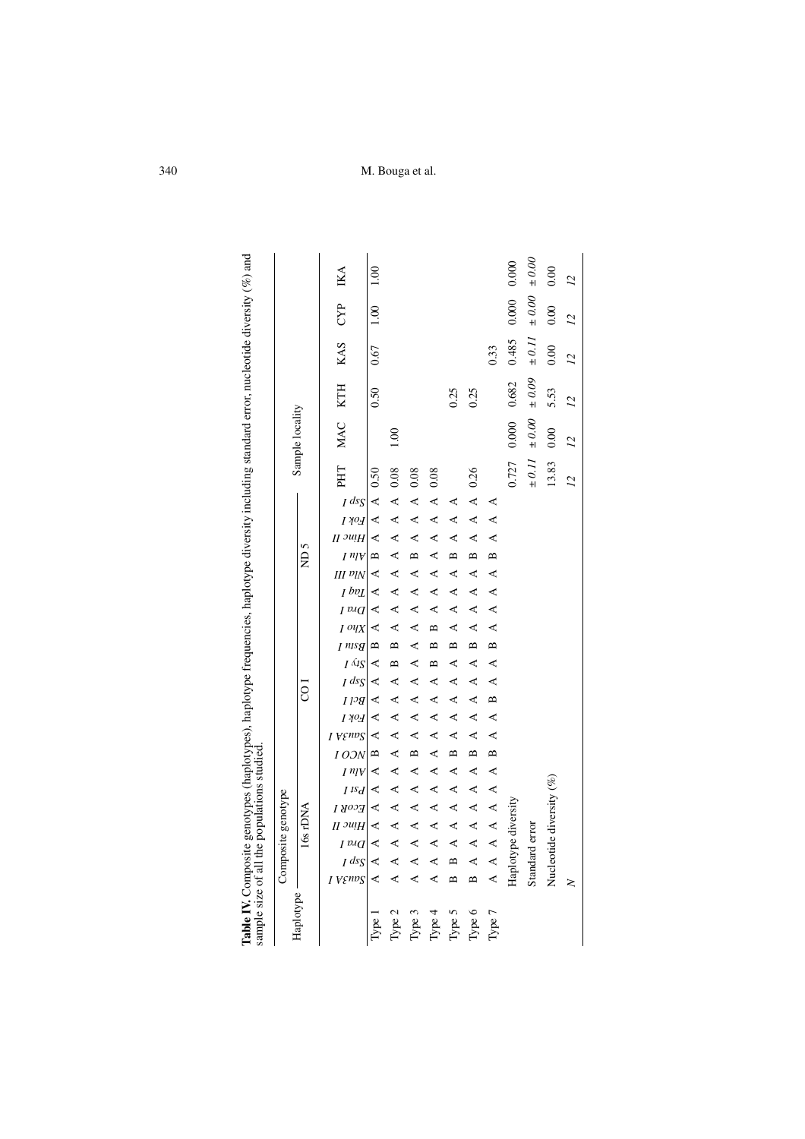| Table IV. Composite genotypes (haplotypes), haplotype frequencies, haplotype diversity including standard error, nucleotide diversity $\%$ ) and<br>sample size of all the populations studied |              |                          |                    |             |             |                      |             |              |              |         |                 |            |                  |              |                 |           |           |                                    |             |             |             |                |                 |            |            |            |          |
|------------------------------------------------------------------------------------------------------------------------------------------------------------------------------------------------|--------------|--------------------------|--------------------|-------------|-------------|----------------------|-------------|--------------|--------------|---------|-----------------|------------|------------------|--------------|-----------------|-----------|-----------|------------------------------------|-------------|-------------|-------------|----------------|-----------------|------------|------------|------------|----------|
|                                                                                                                                                                                                |              | Composite genotype       |                    |             |             |                      |             |              |              |         |                 |            |                  |              |                 |           |           |                                    |             |             |             |                |                 |            |            |            |          |
| Haplotype                                                                                                                                                                                      |              |                          |                    | 16s rDNA    |             |                      |             |              |              |         | CO <sub>1</sub> |            |                  |              |                 |           |           | ND 5                               |             |             |             |                | Sample locality |            |            |            |          |
|                                                                                                                                                                                                | I VENDS      | $I$ ds $\zeta$           | I <sup>p.i</sup> d | $II$ $^{j}$ | EcoR I      | I <sup>1S</sup> d    | $I^{\eta}V$ | I OON        | <b>VENDS</b> | I YOH   | $11^{3}$        | $I$ ds $S$ | $I \triangle tS$ | I nisg       | $I^{O\bar{U}X}$ | $I^{p,q}$ | $I$ $bpL$ | $I^{\eta}V$<br>III <sup>v</sup> IN | $II$ $^{j}$ | I YOH       | $I$ ds $S$  | PHT            | MAC             | KTH        | KAS        | CYP        | IKA      |
| Type 1                                                                                                                                                                                         | Ą            | ∢                        | ₹                  | ∢           | ₹           | ≺                    | ≺           | $\mathbf{r}$ | ∢            | ∢       | ₹               | ∢          | ≺                | $\mathbf{r}$ | ₹               | ₹         | ∢         | $\mathbf{a}$<br>∢                  | ₹           |             | ∢           | 0.50<br>∢      |                 | 0.50       | 0.67       | 1.00       | 1.00     |
| Type $2$                                                                                                                                                                                       | ∢            | ∢                        | $\prec$            | $\prec$     | $\prec$     | ≺                    | $\prec$     | $\prec$      | $\prec$      | $\prec$ | $\prec$         | $\prec$    | $\mathbf{r}$     | $\mathbf{p}$ | $\prec$         | $\prec$   | ∢         | $\prec$<br>$\prec$                 | $\prec$     | $\triangle$ | $\triangle$ | 0.08           | 1.00            |            |            |            |          |
| Type 3                                                                                                                                                                                         | ∢            | ∢                        | ∢                  | $\prec$     | $\prec$     | ≺                    | ≺           | $\mathbf{r}$ | ∢            | $\prec$ | ∢               | ∢          | ∢                | ∢            | $\prec$         | ₹         | ≺<br>≺    | $\mathbf{r}$                       | ∢           | ∢           | ∢           | 0.08           |                 |            |            |            |          |
| Type 4                                                                                                                                                                                         | ₹            | ₹                        | ∢                  | ∢           | $\prec$     | 4                    | ∢           | $\prec$      | ∢            | ∢       | ∢               | ∢          | $\mathbf{a}$     | $\mathbf{a}$ | $\mathbf{a}$    | ₹         | ≺<br>≺    | ≺                                  | ∢           | $\prec$     | ∢           | 0.08           |                 |            |            |            |          |
| Type $5$                                                                                                                                                                                       | $\mathbf{a}$ | $\mathbf{a}$             | $\prec$            | ∢           | $\prec$     | $\blacktriangleleft$ | ≺           | $\mathbf{r}$ | $\prec$      | ≺       | $\prec$         | $\prec$    | ≺                | $\mathbf{r}$ | $\prec$         | ₹         | ≺<br>≺    | $\mathbf{a}$                       | ≺           | ₹           | ≺           |                |                 | 0.25       |            |            |          |
| Type $6$                                                                                                                                                                                       | $\mathbf{r}$ | $\prec$                  | $\prec$            | $\prec$     | $\prec$     | $\prec$              | 4           | $\mathbf{p}$ | ≺            | ≺       | ≺               | ≺          | ≺                | $\mathbf{r}$ | ≺               | ∢         | 4         | $\mathbf{a}$<br>₹                  | $\prec$     | $\prec$     | $\prec$     | 0.26           |                 | 0.25       |            |            |          |
| Type 7                                                                                                                                                                                         | $\prec$      |                          |                    | A A A       | $\triangle$ | $\blacktriangleleft$ | $\prec$     | $\mathbf{a}$ | $\prec$      | $\prec$ | $\mathbf{r}$    | ∢          | ∢                | $\mathbf{a}$ | ∢               | $\prec$   | ∢         | $\mathbf{r}$<br>∢                  | ∢           | ∢           | 4           |                |                 |            | 0.33       |            |          |
|                                                                                                                                                                                                |              | Haplotype diversity      |                    |             |             |                      |             |              |              |         |                 |            |                  |              |                 |           |           |                                    |             |             |             | 0.727          | 0.000           | 0.682      | 0.485      | 0.000      | 0.000    |
|                                                                                                                                                                                                |              | Standard error           |                    |             |             |                      |             |              |              |         |                 |            |                  |              |                 |           |           |                                    |             |             |             | $\pm$ 0.11     | $\pm 0.00$      | $\pm 0.09$ | $\pm$ 0.11 | $\pm 0.00$ | $0.00 +$ |
|                                                                                                                                                                                                |              | Nucleotide diversity (%) |                    |             |             |                      |             |              |              |         |                 |            |                  |              |                 |           |           |                                    |             |             |             | 13.83          | 0.00            | 5.53       | 0.00       | 0.00       | 0.00     |
|                                                                                                                                                                                                | 2            |                          |                    |             |             |                      |             |              |              |         |                 |            |                  |              |                 |           |           |                                    |             |             |             | $\overline{z}$ | $\overline{z}$  | 22         | 12         | 22         | 22       |

| ļ                                   |  |
|-------------------------------------|--|
|                                     |  |
|                                     |  |
| í                                   |  |
|                                     |  |
| i                                   |  |
| i                                   |  |
| ׇ֠                                  |  |
| j<br>֘֒                             |  |
|                                     |  |
| 5                                   |  |
| The contract of the contract of the |  |
|                                     |  |
|                                     |  |
| ĺ                                   |  |
|                                     |  |
|                                     |  |
|                                     |  |
|                                     |  |
| ١<br>j                              |  |
| į<br>Ó<br>١<br>5                    |  |
| j                                   |  |
| ١                                   |  |
| $\frac{1}{2}$                       |  |
| ï<br>j                              |  |
| ś                                   |  |
| i<br>l                              |  |
| sampl<br>$\frac{1}{4}$<br>į<br>l    |  |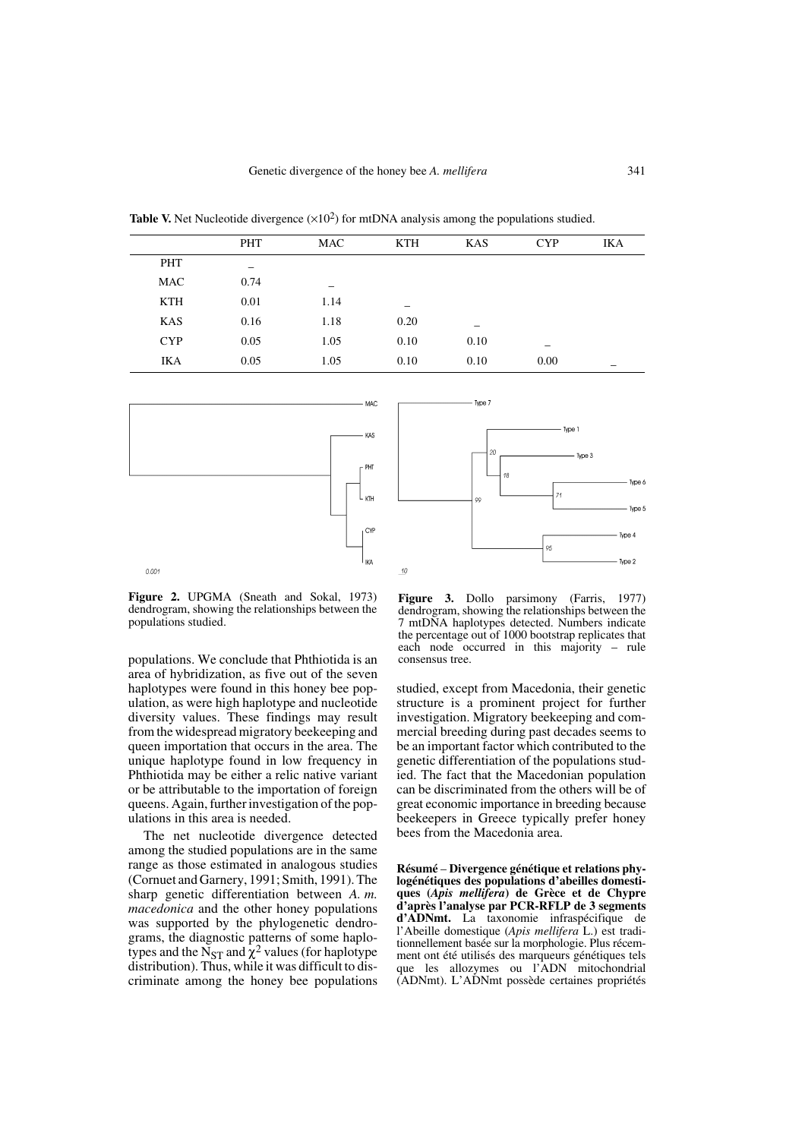**Table V.** Net Nucleotide divergence  $(\times 10^2)$  for mtDNA analysis among the populations studied.

|            | <b>PHT</b> | MAC  | <b>KTH</b> | KAS  | <b>CYP</b> | <b>IKA</b> |
|------------|------------|------|------------|------|------------|------------|
| PHT        |            |      |            |      |            |            |
| MAC        | 0.74       |      |            |      |            |            |
| <b>KTH</b> | 0.01       | 1.14 | -          |      |            |            |
| <b>KAS</b> | 0.16       | 1.18 | 0.20       | –    |            |            |
| <b>CYP</b> | 0.05       | 1.05 | 0.10       | 0.10 |            |            |
| IKA        | 0.05       | 1.05 | 0.10       | 0.10 | 0.00       |            |





**Figure 2.** UPGMA (Sneath and Sokal, 1973) dendrogram, showing the relationships between the populations studied.

populations. We conclude that Phthiotida is an area of hybridization, as five out of the seven haplotypes were found in this honey bee population, as were high haplotype and nucleotide diversity values. These findings may result from the widespread migratory beekeeping and queen importation that occurs in the area. The unique haplotype found in low frequency in Phthiotida may be either a relic native variant or be attributable to the importation of foreign queens. Again, further investigation of the populations in this area is needed.

The net nucleotide divergence detected among the studied populations are in the same range as those estimated in analogous studies (Cornuet and Garnery, 1991; Smith, 1991). The sharp genetic differentiation between *A. m. macedonica* and the other honey populations was supported by the phylogenetic dendrograms, the diagnostic patterns of some haplotypes and the N<sub>ST</sub> and  $\chi^2$  values (for haplotype distribution). Thus, while it was difficult to discriminate among the honey bee populations

**Figure 3.** Dollo parsimony (Farris, 1977) dendrogram, showing the relationships between the 7 mtDNA haplotypes detected. Numbers indicate the percentage out of 1000 bootstrap replicates that each node occurred in this majority – rule consensus tree.

studied, except from Macedonia, their genetic structure is a prominent project for further investigation. Migratory beekeeping and commercial breeding during past decades seems to be an important factor which contributed to the genetic differentiation of the populations studied. The fact that the Macedonian population can be discriminated from the others will be of great economic importance in breeding because beekeepers in Greece typically prefer honey bees from the Macedonia area.

**Résumé** – **Divergence génétique et relations phylogénétiques des populations d'abeilles domestiques (***Apis mellifera***) de Grèce et de Chypre d'après l'analyse par PCR-RFLP de 3 segments d'ADNmt.** La taxonomie infraspécifique de l'Abeille domestique (*Apis mellifera* L.) est traditionnellement basée sur la morphologie. Plus récemment ont été utilisés des marqueurs génétiques tels que les allozymes ou l'ADN mitochondrial (ADNmt). L'ADNmt possède certaines propriétés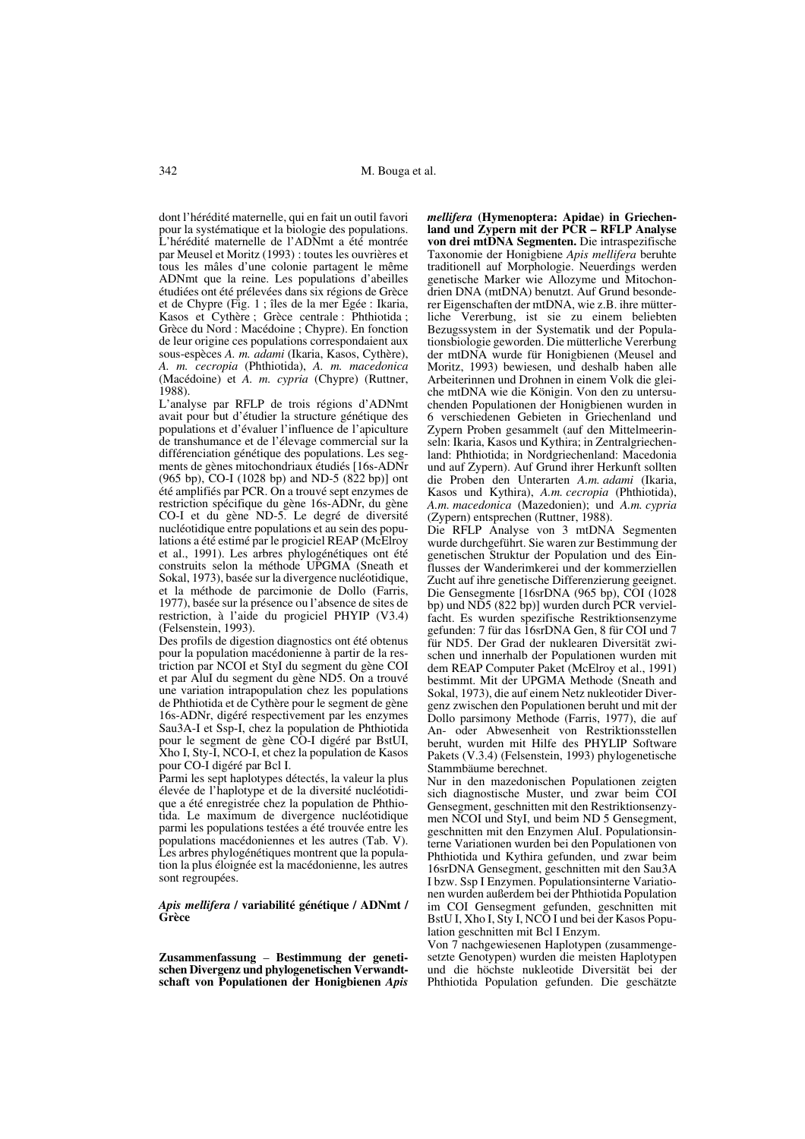dont l'hérédité maternelle, qui en fait un outil favori pour la systématique et la biologie des populations. L'hérédité maternelle de l'ADNmt a été montrée par Meusel et Moritz (1993) : toutes les ouvrières et tous les mâles d'une colonie partagent le même ADNmt que la reine. Les populations d'abeilles étudiées ont été prélevées dans six régions de Grèce et de Chypre (Fig. 1 ; îles de la mer Egée : Ikaria, Kasos et Cythère ; Grèce centrale : Phthiotida ; Grèce du Nord : Macédoine ; Chypre). En fonction de leur origine ces populations correspondaient aux sous-espèces *A. m. adami* (Ikaria, Kasos, Cythère), *A. m. cecropia* (Phthiotida), *A. m. macedonica* (Macédoine) et *A. m. cypria* (Chypre) (Ruttner, 1988).

L'analyse par RFLP de trois régions d'ADNmt avait pour but d'étudier la structure génétique des populations et d'évaluer l'influence de l'apiculture de transhumance et de l'élevage commercial sur la différenciation génétique des populations. Les segments de gènes mitochondriaux étudiés [16s-ADNr (965 bp), CO-I (1028 bp) and ND-5 (822 bp)] ont été amplifiés par PCR. On a trouvé sept enzymes de restriction spécifique du gène 16s-ADNr, du gène CO-I et du gène ND-5. Le degré de diversité nucléotidique entre populations et au sein des populations a été estimé par le progiciel REAP (McElroy et al., 1991). Les arbres phylogénétiques ont été construits selon la méthode UPGMA (Sneath et Sokal, 1973), basée sur la divergence nucléotidique, et la méthode de parcimonie de Dollo (Farris, 1977), basée sur la présence ou l'absence de sites de restriction, à l'aide du progiciel PHYIP (V3.4) (Felsenstein, 1993).

Des profils de digestion diagnostics ont été obtenus pour la population macédonienne à partir de la restriction par NCOI et StyI du segment du gène COI et par AluI du segment du gène ND5. On a trouvé une variation intrapopulation chez les populations de Phthiotida et de Cythère pour le segment de gène 16s-ADNr, digéré respectivement par les enzymes Sau3A-I et Ssp-I, chez la population de Phthiotida pour le segment de gène CO-I digéré par BstUI, Xho I, Sty-I, NCO-I, et chez la population de Kasos pour CO-I digéré par Bcl I.

Parmi les sept haplotypes détectés, la valeur la plus élevée de l'haplotype et de la diversité nucléotidique a été enregistrée chez la population de Phthiotida. Le maximum de divergence nucléotidique parmi les populations testées a été trouvée entre les populations macédoniennes et les autres (Tab. V). Les arbres phylogénétiques montrent que la population la plus éloignée est la macédonienne, les autres sont regroupées.

### *Apis mellifera* **/ variabilité génétique / ADNmt / Grèce**

**Zusammenfassung** – **Bestimmung der geneti**schen Divergenz und phylogenetischen Verwandt**schaft von Populationen der Honigbienen** *Apis*

*mellifera* **(Hymenoptera: Apidae) in Griechenland und Zypern mit der PCR – RFLP Analyse von drei mtDNA Segmenten.** Die intraspezifische Taxonomie der Honigbiene *Apis mellifera* beruhte traditionell auf Morphologie. Neuerdings werden genetische Marker wie Allozyme und Mitochondrien DNA (mtDNA) benutzt. Auf Grund besonderer Eigenschaften der mtDNA, wie z.B. ihre mütterliche Vererbung, ist sie zu einem beliebten Bezugssystem in der Systematik und der Populationsbiologie geworden. Die mütterliche Vererbung der mtDNA wurde für Honigbienen (Meusel and Moritz, 1993) bewiesen, und deshalb haben alle Arbeiterinnen und Drohnen in einem Volk die gleiche mtDNA wie die Königin. Von den zu untersuchenden Populationen der Honigbienen wurden in 6 verschiedenen Gebieten in Griechenland und Zypern Proben gesammelt (auf den Mittelmeerinseln: Ikaria, Kasos und Kythira; in Zentralgriechenland: Phthiotida; in Nordgriechenland: Macedonia und auf Zypern). Auf Grund ihrer Herkunft sollten die Proben den Unterarten *A.m. adami* (Ikaria, Kasos und Kythira), *A.m. cecropia* (Phthiotida), *A.m. macedonica* (Mazedonien); und *A.m. cypria* (Zypern) entsprechen (Ruttner, 1988).

Die RFLP Analyse von 3 mtDNA Segmenten wurde durchgeführt. Sie waren zur Bestimmung der genetischen Struktur der Population und des Einflusses der Wanderimkerei und der kommerziellen Zucht auf ihre genetische Differenzierung geeignet. Die Gensegmente [16srDNA (965 bp), COI (1028 bp) und ND5 (822 bp)] wurden durch PCR vervielfacht. Es wurden spezifische Restriktionsenzyme gefunden: 7 für das 16srDNA Gen, 8 für COI und 7 für ND5. Der Grad der nuklearen Diversität zwischen und innerhalb der Populationen wurden mit dem REAP Computer Paket (McElroy et al., 1991) bestimmt. Mit der UPGMA Methode (Sneath and Sokal, 1973), die auf einem Netz nukleotider Divergenz zwischen den Populationen beruht und mit der Dollo parsimony Methode (Farris, 1977), die auf An- oder Abwesenheit von Restriktionsstellen beruht, wurden mit Hilfe des PHYLIP Software Pakets (V.3.4) (Felsenstein, 1993) phylogenetische Stammbäume berechnet.

Nur in den mazedonischen Populationen zeigten sich diagnostische Muster, und zwar beim COI Gensegment, geschnitten mit den Restriktionsenzymen NCOI und StyI, und beim ND 5 Gensegment, geschnitten mit den Enzymen AluI. Populationsinterne Variationen wurden bei den Populationen von Phthiotida und Kythira gefunden, und zwar beim 16srDNA Gensegment, geschnitten mit den Sau3A I bzw. Ssp I Enzymen. Populationsinterne Variationen wurden außerdem bei der Phthiotida Population im COI Gensegment gefunden, geschnitten mit BstU I, Xho I, Sty I, NCO I und bei der Kasos Population geschnitten mit Bcl I Enzym.

Von 7 nachgewiesenen Haplotypen (zusammengesetzte Genotypen) wurden die meisten Haplotypen und die höchste nukleotide Diversität bei der Phthiotida Population gefunden. Die geschätzte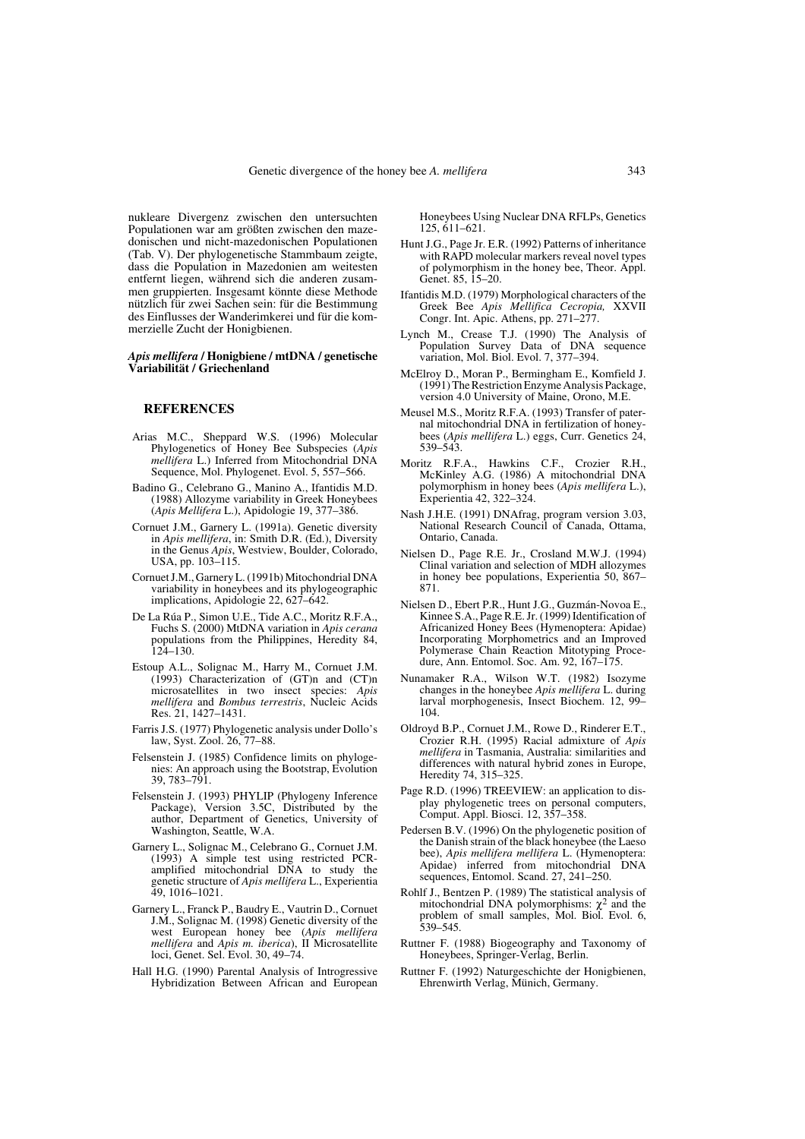nukleare Divergenz zwischen den untersuchten Populationen war am größten zwischen den mazedonischen und nicht-mazedonischen Populationen (Tab. V). Der phylogenetische Stammbaum zeigte, dass die Population in Mazedonien am weitesten entfernt liegen, während sich die anderen zusammen gruppierten. Insgesamt könnte diese Methode nützlich für zwei Sachen sein: für die Bestimmung des Einflusses der Wanderimkerei und für die kommerzielle Zucht der Honigbienen.

#### *Apis mellifera* **/ Honigbiene / mtDNA / genetische Variabilität / Griechenland**

## **REFERENCES**

- Arias M.C., Sheppard W.S. (1996) Molecular Phylogenetics of Honey Bee Subspecies (*Apis mellifera* L.) Inferred from Mitochondrial DNA Sequence, Mol. Phylogenet. Evol. 5, 557–566.
- Badino G., Celebrano G., Manino A., Ifantidis M.D. (1988) Allozyme variability in Greek Honeybees (*Apis Mellifera* L.), Apidologie 19, 377–386.
- Cornuet J.M., Garnery L. (1991a). Genetic diversity in *Apis mellifera*, in: Smith D.R. (Ed.), Diversity in the Genus *Apis*, Westview, Boulder, Colorado, USA, pp. 103–115.
- Cornuet J.M., Garnery L. (1991b) Mitochondrial DNA variability in honeybees and its phylogeographic implications, Apidologie 22, 627–642.
- De La Rúa P., Simon U.E., Tide A.C., Moritz R.F.A., Fuchs S. (2000) MtDNA variation in *Apis cerana* populations from the Philippines, Heredity 84,  $124 - 130$ .
- Estoup A.L., Solignac M., Harry M., Cornuet J.M. (1993) Characterization of (GT)n and (CT)n microsatellites in two insect species: *Apis mellifera* and *Bombus terrestris*, Nucleic Acids Res. 21, 1427–1431.
- Farris J.S. (1977) Phylogenetic analysis under Dollo's law, Syst. Zool. 26, 77–88.
- Felsenstein J. (1985) Confidence limits on phylogenies: An approach using the Bootstrap, Evolution 39, 783–791.
- Felsenstein J. (1993) PHYLIP (Phylogeny Inference Package), Version 3.5C, Distributed by the author, Department of Genetics, University of Washington, Seattle, W.A.
- Garnery L., Solignac M., Celebrano G., Cornuet J.M. (1993) A simple test using restricted PCRamplified mitochondrial DNA to study the genetic structure of *Apis mellifera* L., Experientia 49, 1016–1021.
- Garnery L., Franck P., Baudry E., Vautrin D., Cornuet J.M., Solignac M. (1998) Genetic diversity of the west European honey bee (*Apis mellifera mellifera* and *Apis m. iberica*), II Microsatellite loci, Genet. Sel. Evol. 30, 49–74.
- Hall H.G. (1990) Parental Analysis of Introgressive Hybridization Between African and European

Honeybees Using Nuclear DNA RFLPs, Genetics 125, 611–621.

- Hunt J.G., Page Jr. E.R. (1992) Patterns of inheritance with RAPD molecular markers reveal novel types of polymorphism in the honey bee, Theor. Appl. Genet. 85, 15–20.
- Ifantidis M.D. (1979) Morphological characters of the Greek Bee *Apis Mellifica Cecropia,* XXVII Congr. Int. Apic. Athens, pp. 271–277.
- Lynch M., Crease T.J. (1990) The Analysis of Population Survey Data of DNA sequence variation, Mol. Biol. Evol. 7, 377–394.
- McElroy D., Moran P., Bermingham E., Komfield J. (1991) The Restriction Enzyme Analysis Package, version 4.0 University of Maine, Orono, M.E.
- Meusel M.S., Moritz R.F.A. (1993) Transfer of paternal mitochondrial DNA in fertilization of honeybees (*Apis mellifera* L.) eggs, Curr. Genetics 24, 539–543.
- Moritz R.F.A., Hawkins C.F., Crozier R.H., McKinley A.G. (1986) A mitochondrial DNA polymorphism in honey bees (*Apis mellifera* L.), Experientia 42, 322–324.
- Nash J.H.E. (1991) DNAfrag, program version 3.03, National Research Council of Canada, Ottama, Ontario, Canada.
- Nielsen D., Page R.E. Jr., Crosland M.W.J. (1994) Clinal variation and selection of MDH allozymes in honey bee populations, Experientia 50, 867– 871.
- Nielsen D., Ebert P.R., Hunt J.G., Guzmán-Novoa E., Kinnee S.A., Page R.E. Jr. (1999) Identification of Africanized Honey Bees (Hymenoptera: Apidae) Incorporating Morphometrics and an Improved Polymerase Chain Reaction Mitotyping Procedure, Ann. Entomol. Soc. Am. 92, 167–175.
- Nunamaker R.A., Wilson W.T. (1982) Isozyme changes in the honeybee *Apis mellifera* L. during larval morphogenesis, Insect Biochem. 12, 99– 104.
- Oldroyd B.P., Cornuet J.M., Rowe D., Rinderer E.T., Crozier R.H. (1995) Racial admixture of *Apis mellifera* in Tasmania, Australia: similarities and differences with natural hybrid zones in Europe, Heredity 74, 315–325.
- Page R.D. (1996) TREEVIEW: an application to display phylogenetic trees on personal computers, Comput. Appl. Biosci. 12, 357–358.
- Pedersen B.V. (1996) On the phylogenetic position of the Danish strain of the black honeybee (the Laeso bee), *Apis mellifera mellifera* L. (Hymenoptera: Apidae) inferred from mitochondrial DNA sequences, Entomol. Scand. 27, 241–250.
- Rohlf J., Bentzen P. (1989) The statistical analysis of mitochondrial DNA polymorphisms:  $\chi^2$  and the problem of small samples, Mol. Biol. Evol. 6, 539–545.
- Ruttner F. (1988) Biogeography and Taxonomy of Honeybees, Springer-Verlag, Berlin.
- Ruttner F. (1992) Naturgeschichte der Honigbienen, Ehrenwirth Verlag, Münich, Germany.